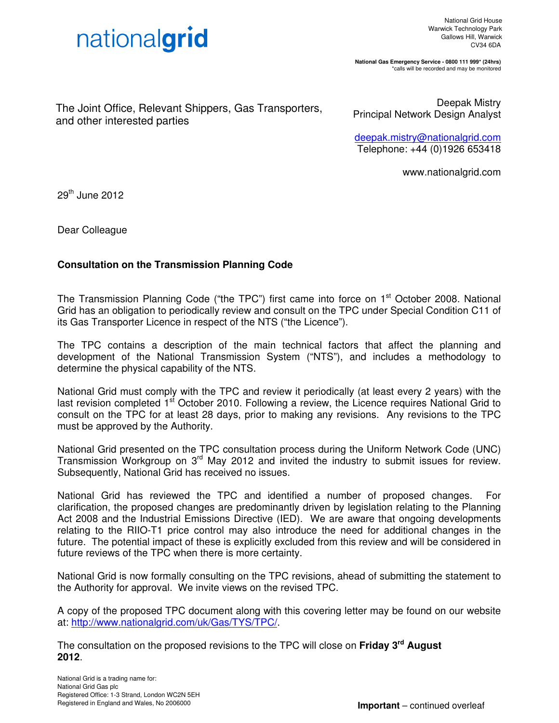

**National Gas Emergency Service - 0800 111 999\* (24hrs)**  \*calls will be recorded and may be monitored

The Joint Office, Relevant Shippers, Gas Transporters, and other interested parties

Deepak Mistry Principal Network Design Analyst

deepak.mistry@nationalgrid.com Telephone: +44 (0)1926 653418

www.nationalgrid.com

29th June 2012

Dear Colleague

## **Consultation on the Transmission Planning Code**

The Transmission Planning Code ("the TPC") first came into force on 1<sup>st</sup> October 2008. National Grid has an obligation to periodically review and consult on the TPC under Special Condition C11 of its Gas Transporter Licence in respect of the NTS ("the Licence").

The TPC contains a description of the main technical factors that affect the planning and development of the National Transmission System ("NTS"), and includes a methodology to determine the physical capability of the NTS.

National Grid must comply with the TPC and review it periodically (at least every 2 years) with the last revision completed 1<sup>st</sup> October 2010. Following a review, the Licence requires National Grid to consult on the TPC for at least 28 days, prior to making any revisions. Any revisions to the TPC must be approved by the Authority.

National Grid presented on the TPC consultation process during the Uniform Network Code (UNC) Transmission Workgroup on 3<sup>rd</sup> May 2012 and invited the industry to submit issues for review. Subsequently, National Grid has received no issues.

National Grid has reviewed the TPC and identified a number of proposed changes. For clarification, the proposed changes are predominantly driven by legislation relating to the Planning Act 2008 and the Industrial Emissions Directive (IED). We are aware that ongoing developments relating to the RIIO-T1 price control may also introduce the need for additional changes in the future. The potential impact of these is explicitly excluded from this review and will be considered in future reviews of the TPC when there is more certainty.

National Grid is now formally consulting on the TPC revisions, ahead of submitting the statement to the Authority for approval. We invite views on the revised TPC.

A copy of the proposed TPC document along with this covering letter may be found on our website at: http://www.nationalgrid.com/uk/Gas/TYS/TPC/.

The consultation on the proposed revisions to the TPC will close on **Friday 3rd August 2012**.